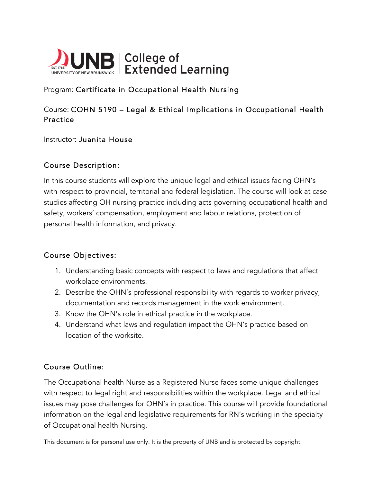

# Program: Certificate in Occupational Health Nursing

# Course: COHN 5190 – Legal & Ethical Implications in Occupational Health **Practice**

Instructor: Juanita House

#### Course Description:

In this course students will explore the unique legal and ethical issues facing OHN's with respect to provincial, territorial and federal legislation. The course will look at case studies affecting OH nursing practice including acts governing occupational health and safety, workers' compensation, employment and labour relations, protection of personal health information, and privacy.

#### Course Objectives:

- 1. Understanding basic concepts with respect to laws and regulations that affect workplace environments.
- 2. Describe the OHN's professional responsibility with regards to worker privacy, documentation and records management in the work environment.
- 3. Know the OHN's role in ethical practice in the workplace.
- 4. Understand what laws and regulation impact the OHN's practice based on location of the worksite.

### Course Outline:

The Occupational health Nurse as a Registered Nurse faces some unique challenges with respect to legal right and responsibilities within the workplace. Legal and ethical issues may pose challenges for OHN's in practice. This course will provide foundational information on the legal and legislative requirements for RN's working in the specialty of Occupational health Nursing.

This document is for personal use only. It is the property of UNB and is protected by copyright.